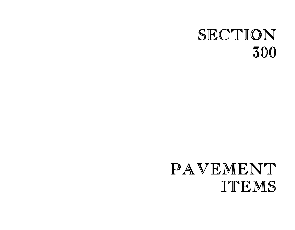## SECTION 300

# PAVEMENT ITEMS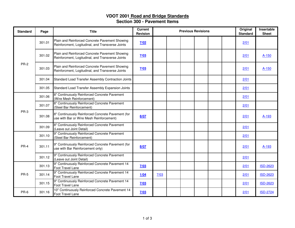#### **VDOT 2001 Road and Bridge Standards Section 300 - Pavement Items**

| <b>Standard</b> | Page   | <b>Title</b>                                                                                       | <b>Current</b><br>Revision | <b>Previous Revisions</b> |  |  |  |  |  | Original<br><b>Standard</b> | Insertable<br><b>Sheet</b> |
|-----------------|--------|----------------------------------------------------------------------------------------------------|----------------------------|---------------------------|--|--|--|--|--|-----------------------------|----------------------------|
| <b>PR-2</b>     | 301.01 | Plain and Reinforced Concrete Pavement Showing<br>Reinforcment, Logitudinal, and Transverse Joints | 7/02                       |                           |  |  |  |  |  | 2/01                        |                            |
|                 | 301.02 | Plain and Reinforced Concrete Pavement Showing<br>Reinforcment, Logitudinal, and Transverse Joints | 7/03                       |                           |  |  |  |  |  | 2/01                        | $A-150$                    |
|                 | 301.03 | Plain and Reinforced Concrete Pavement Showing<br>Reinforcment, Logitudinal, and Transverse Joints | 7/03                       |                           |  |  |  |  |  | 2/01                        | A-150                      |
|                 | 301.04 | Standard Load Transfer Assembly Contraction Joints                                                 |                            |                           |  |  |  |  |  | 2/01                        |                            |
|                 | 301.05 | Standard Load Transfer Assembly Expansion Joints                                                   |                            |                           |  |  |  |  |  | 2/01                        |                            |
| <b>PR-3</b>     | 301.06 | 8" Continuously Reinforced Concrete Pavement<br>(Wire Mesh Reinforcement)                          |                            |                           |  |  |  |  |  | 2/01                        |                            |
|                 | 301.07 | 8" Continuously Reinforced Concrete Pavement<br>(Steel Bar Reinforcement)                          |                            |                           |  |  |  |  |  | 2/01                        |                            |
|                 | 301.08 | 8" Continuously Reinforced Concrete Pavement (for<br>use with Bar or Wire Mesh Reinforcement)      | 8/07                       |                           |  |  |  |  |  | 2/01                        | A-193                      |
|                 | 301.09 | 8" Continuously Reinforced Concrete Pavement<br>(Leave out Joint Detail)                           |                            |                           |  |  |  |  |  | 2/01                        |                            |
| PR-4            | 301.10 | 9" Continuously Reinforced Concrete Pavement<br>(Steel Bar Reinforcement)                          |                            |                           |  |  |  |  |  | 2/01                        |                            |
|                 | 301.11 | 9" Continuously Reinforced Concrete Pavement (for<br>use with Bar Reinforcement only)              | 8/07                       |                           |  |  |  |  |  | 2/01                        | A-193                      |
|                 | 301.12 | 9" Continuously Reinforced Concrete Pavement<br>(Leave out Joint Detail)                           |                            |                           |  |  |  |  |  | 2/01                        |                            |
| <b>PR-5</b>     | 301.13 | 9" Continuously Reinforced Concrete Pavement 14<br><b>Foot Travel Lane</b>                         | 7/03                       |                           |  |  |  |  |  | 2/01                        | <b>ISD-2623</b>            |
|                 | 301.14 | 9" Continuously Reinforced Concrete Pavement 14<br>Foot Travel Lane                                | 1/04                       | 7/03                      |  |  |  |  |  | 2/01                        | <b>ISD-2623</b>            |
|                 | 301.15 | 9" Continuously Reinforced Concrete Pavement 14<br>Foot Travel Lane                                | 7/03                       |                           |  |  |  |  |  | 2/01                        | <b>ISD-2623</b>            |
| PR-6            | 301.16 | 10" Continuously Reinforced Concrete Pavement 14<br><b>Foot Travel Lane</b>                        | 7/03                       |                           |  |  |  |  |  | 2/01                        | <b>ISD-2724</b>            |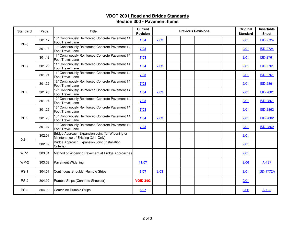#### **VDOT 2001 Road and Bridge Standards Section 300 - Pavement Items**

| <b>Standard</b> | Page   | <b>Title</b>                                                                           | <b>Current</b><br><b>Revision</b> | <b>Previous Revisions</b> |  |  |  |  | Original<br><b>Standard</b> | Insertable<br><b>Sheet</b> |                  |
|-----------------|--------|----------------------------------------------------------------------------------------|-----------------------------------|---------------------------|--|--|--|--|-----------------------------|----------------------------|------------------|
| PR-6            | 301.17 | 10" Continuously Reinforced Concrete Pavement 14<br>Foot Travel Lane                   | 1/04                              | 7/03                      |  |  |  |  |                             | 2/01                       | <b>ISD-2724</b>  |
|                 | 301.18 | 10" Continuously Reinforced Concrete Pavement 14<br>Foot Travel Lane                   | 7/03                              |                           |  |  |  |  |                             | 2/01                       | <b>ISD-2724</b>  |
| <b>PR-7</b>     | 301.19 | 11" Continuously Reinforced Concrete Pavement 14<br>Foot Travel Lane                   | 7/03                              |                           |  |  |  |  |                             | 2/01                       | <b>ISD-2761</b>  |
|                 | 301.20 | 11" Continuously Reinforced Concrete Pavement 14<br>Foot Travel Lane                   | 1/04                              | 7/03                      |  |  |  |  |                             | 2/01                       | <b>ISD-2761</b>  |
|                 | 301.21 | 11" Continuously Reinforced Concrete Pavement 14<br><b>Foot Travel Lane</b>            | 7/03                              |                           |  |  |  |  |                             | 2/01                       | <b>ISD-2761</b>  |
| PR-8            | 301.22 | 12" Continuously Reinforced Concrete Pavement 14<br>Foot Travel Lane                   | 7/03                              |                           |  |  |  |  |                             | 2/01                       | <b>ISD-2861</b>  |
|                 | 301.23 | 12" Continuously Reinforced Concrete Pavement 14<br>Foot Travel Lane                   | 1/04                              | 7/03                      |  |  |  |  |                             | 2/01                       | <b>ISD-2861</b>  |
|                 | 301.24 | 12" Continuously Reinforced Concrete Pavement 14<br>Foot Travel Lane                   | 7/03                              |                           |  |  |  |  |                             | 2/01                       | <b>ISD-2861</b>  |
| PR-9            | 301.25 | 13" Continuously Reinforced Concrete Pavement 14<br>Foot Travel Lane                   | 7/03                              |                           |  |  |  |  |                             | 2/01                       | <b>ISD-2862</b>  |
|                 | 301.26 | 13" Continuously Reinforced Concrete Pavement 14<br>Foot Travel Lane                   | 1/04                              | 7/03                      |  |  |  |  |                             | 2/01                       | <b>ISD-2862</b>  |
|                 | 301.27 | 13" Continuously Reinforced Concrete Pavement 14<br>Foot Travel Lane                   | 7/03                              |                           |  |  |  |  |                             | 2/01                       | <b>ISD-2862</b>  |
| $XJ-1$          | 302.01 | Bridge Approach Expansion Joint (for Widening or<br>Maintenance of Existing XJ-1 Only) |                                   |                           |  |  |  |  |                             | 2/01                       |                  |
|                 | 302.02 | Bridge Approach Expansion Joint (Installation<br>Criteria)                             |                                   |                           |  |  |  |  |                             | 2/01                       |                  |
| $WP-1$          | 303.01 | Method of Widening Pavement at Bridge Approaches                                       |                                   |                           |  |  |  |  |                             | 2/01                       |                  |
| $WP-2$          | 303.02 | <b>Pavement Widening</b>                                                               | 11/07                             |                           |  |  |  |  |                             | 9/06                       | A-187            |
| $RS-1$          | 304.01 | Continuous Shoulder Rumble Strips                                                      | 8/07                              | 3/03                      |  |  |  |  |                             | 2/01                       | <b>ISD-1772A</b> |
| $RS-2$          | 304.02 | Rumble Strips (Concrete Shoulder)                                                      | <b>VOID 3/03</b>                  |                           |  |  |  |  |                             | 2/01                       |                  |
| $RS-3$          | 304.03 | Centerline Rumble Strips                                                               | 8/07                              |                           |  |  |  |  |                             | 9/06                       | A-188            |